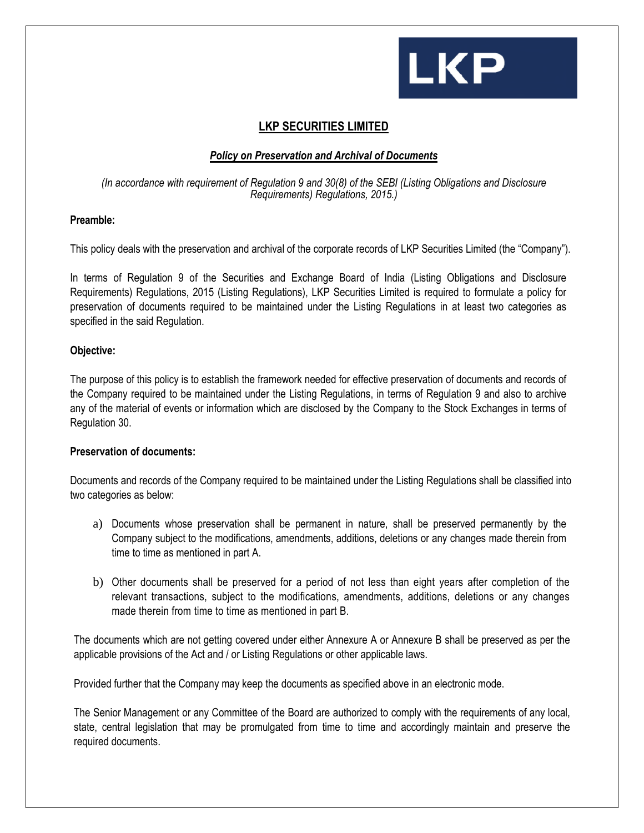

### **LKP SECURITIES LIMITED**

#### *Policy on Preservation and Archival of Documents*

#### *(In accordance with requirement of Regulation 9 and 30(8) of the SEBI (Listing Obligations and Disclosure Requirements) Regulations, 2015.)*

#### **Preamble:**

This policy deals with the preservation and archival of the corporate records of LKP Securities Limited (the "Company").

In terms of Regulation 9 of the Securities and Exchange Board of India (Listing Obligations and Disclosure Requirements) Regulations, 2015 (Listing Regulations), LKP Securities Limited is required to formulate a policy for preservation of documents required to be maintained under the Listing Regulations in at least two categories as specified in the said Regulation.

#### **Objective:**

The purpose of this policy is to establish the framework needed for effective preservation of documents and records of the Company required to be maintained under the Listing Regulations, in terms of Regulation 9 and also to archive any of the material of events or information which are disclosed by the Company to the Stock Exchanges in terms of Regulation 30.

#### **Preservation of documents:**

Documents and records of the Company required to be maintained under the Listing Regulations shall be classified into two categories as below:

- a) Documents whose preservation shall be permanent in nature, shall be preserved permanently by the Company subject to the modifications, amendments, additions, deletions or any changes made therein from time to time as mentioned in part A.
- b) Other documents shall be preserved for a period of not less than eight years after completion of the relevant transactions, subject to the modifications, amendments, additions, deletions or any changes made therein from time to time as mentioned in part B.

The documents which are not getting covered under either Annexure A or Annexure B shall be preserved as per the applicable provisions of the Act and / or Listing Regulations or other applicable laws.

Provided further that the Company may keep the documents as specified above in an electronic mode.

The Senior Management or any Committee of the Board are authorized to comply with the requirements of any local, state, central legislation that may be promulgated from time to time and accordingly maintain and preserve the required documents.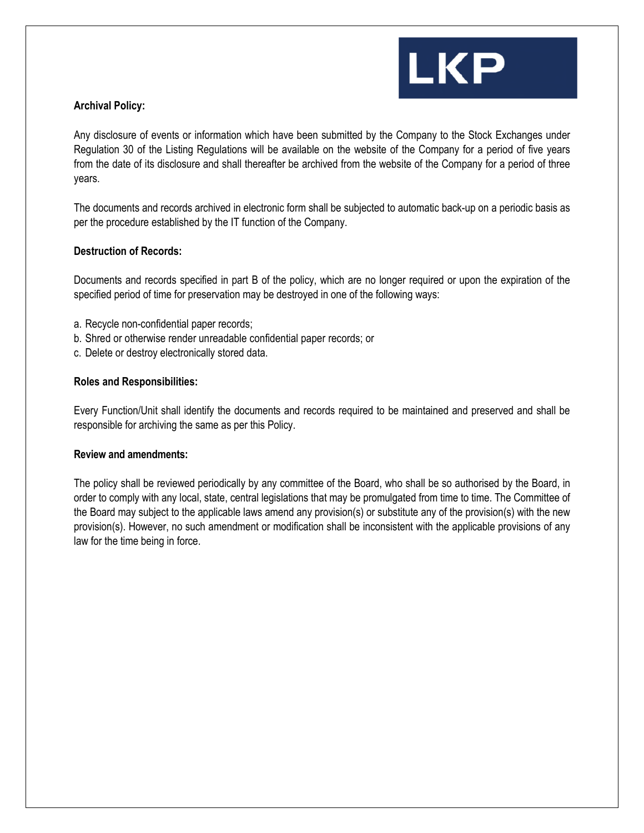

#### **Archival Policy:**

Any disclosure of events or information which have been submitted by the Company to the Stock Exchanges under Regulation 30 of the Listing Regulations will be available on the website of the Company for a period of five years from the date of its disclosure and shall thereafter be archived from the website of the Company for a period of three years.

The documents and records archived in electronic form shall be subjected to automatic back-up on a periodic basis as per the procedure established by the IT function of the Company.

#### **Destruction of Records:**

Documents and records specified in part B of the policy, which are no longer required or upon the expiration of the specified period of time for preservation may be destroyed in one of the following ways:

- a. Recycle non-confidential paper records;
- b. Shred or otherwise render unreadable confidential paper records; or
- c. Delete or destroy electronically stored data.

#### **Roles and Responsibilities:**

Every Function/Unit shall identify the documents and records required to be maintained and preserved and shall be responsible for archiving the same as per this Policy.

#### **Review and amendments:**

The policy shall be reviewed periodically by any committee of the Board, who shall be so authorised by the Board, in order to comply with any local, state, central legislations that may be promulgated from time to time. The Committee of the Board may subject to the applicable laws amend any provision(s) or substitute any of the provision(s) with the new provision(s). However, no such amendment or modification shall be inconsistent with the applicable provisions of any law for the time being in force.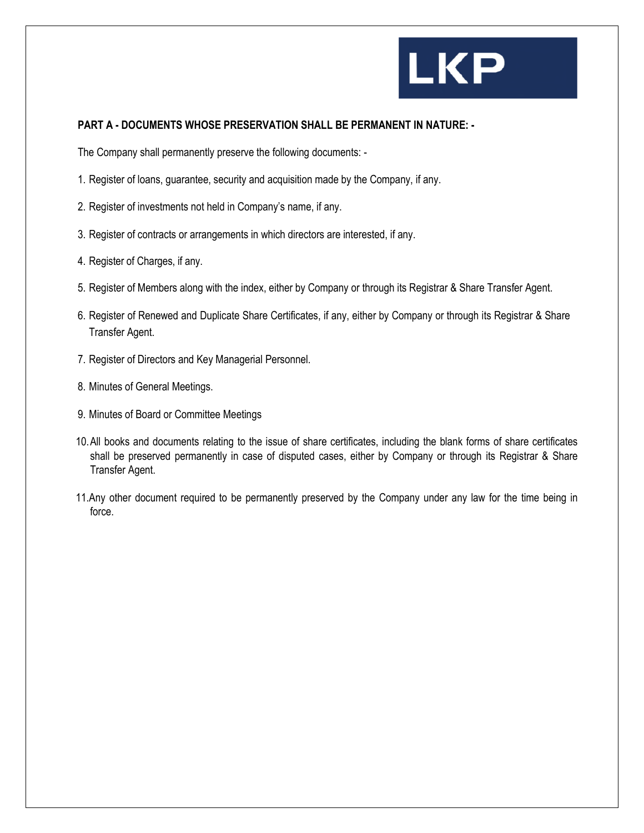## **LKP**

#### **PART A - DOCUMENTS WHOSE PRESERVATION SHALL BE PERMANENT IN NATURE: -**

The Company shall permanently preserve the following documents: -

- 1. Register of loans, guarantee, security and acquisition made by the Company, if any.
- 2. Register of investments not held in Company's name, if any.
- 3. Register of contracts or arrangements in which directors are interested, if any.
- 4. Register of Charges, if any.
- 5. Register of Members along with the index, either by Company or through its Registrar & Share Transfer Agent.
- 6. Register of Renewed and Duplicate Share Certificates, if any, either by Company or through its Registrar & Share Transfer Agent.
- 7. Register of Directors and Key Managerial Personnel.
- 8. Minutes of General Meetings.
- 9. Minutes of Board or Committee Meetings
- 10.All books and documents relating to the issue of share certificates, including the blank forms of share certificates shall be preserved permanently in case of disputed cases, either by Company or through its Registrar & Share Transfer Agent.
- 11.Any other document required to be permanently preserved by the Company under any law for the time being in force.